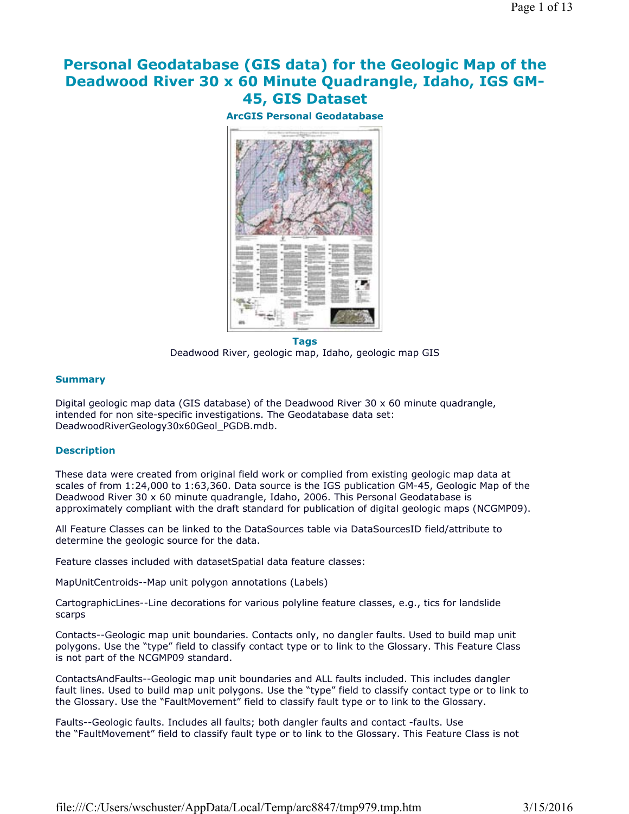# **Personal Geodatabase (GIS data) for the Geologic Map of the Deadwood River 30 x 60 Minute Quadrangle, Idaho, IGS GM-45, GIS Dataset**

**ArcGIS Personal Geodatabase**



**Tags** Deadwood River, geologic map, Idaho, geologic map GIS

### **Summary**

Digital geologic map data (GIS database) of the Deadwood River 30 x 60 minute quadrangle, intended for non site-specific investigations. The Geodatabase data set: DeadwoodRiverGeology30x60Geol\_PGDB.mdb.

### **Description**

These data were created from original field work or complied from existing geologic map data at scales of from 1:24,000 to 1:63,360. Data source is the IGS publication GM-45, Geologic Map of the Deadwood River 30 x 60 minute quadrangle, Idaho, 2006. This Personal Geodatabase is approximately compliant with the draft standard for publication of digital geologic maps (NCGMP09).

All Feature Classes can be linked to the DataSources table via DataSourcesID field/attribute to determine the geologic source for the data.

Feature classes included with datasetSpatial data feature classes:

MapUnitCentroids--Map unit polygon annotations (Labels)

CartographicLines--Line decorations for various polyline feature classes, e.g., tics for landslide scarps

Contacts--Geologic map unit boundaries. Contacts only, no dangler faults. Used to build map unit polygons. Use the "type" field to classify contact type or to link to the Glossary. This Feature Class is not part of the NCGMP09 standard.

ContactsAndFaults--Geologic map unit boundaries and ALL faults included. This includes dangler fault lines. Used to build map unit polygons. Use the "type" field to classify contact type or to link to the Glossary. Use the "FaultMovement" field to classify fault type or to link to the Glossary.

Faults--Geologic faults. Includes all faults; both dangler faults and contact -faults. Use the "FaultMovement" field to classify fault type or to link to the Glossary. This Feature Class is not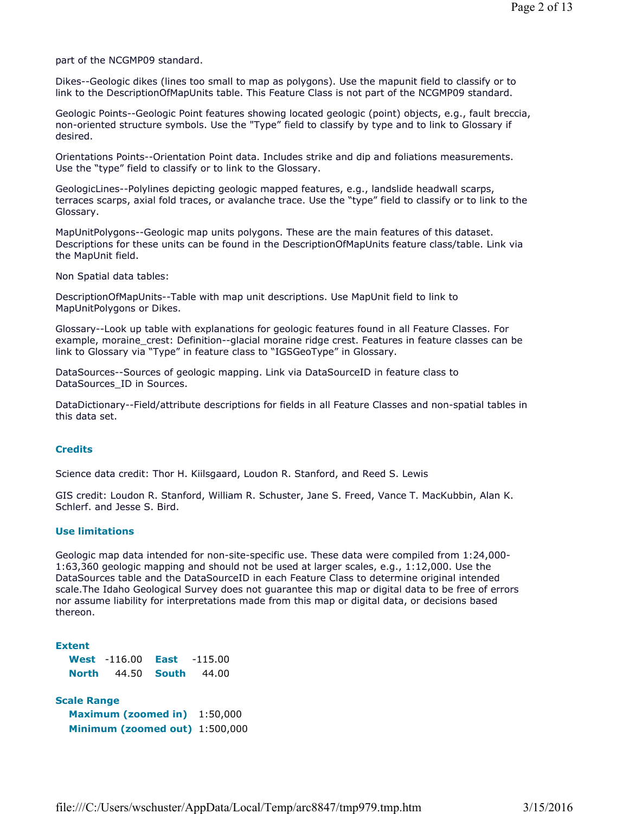part of the NCGMP09 standard.

Dikes--Geologic dikes (lines too small to map as polygons). Use the mapunit field to classify or to link to the DescriptionOfMapUnits table. This Feature Class is not part of the NCGMP09 standard.

Geologic Points--Geologic Point features showing located geologic (point) objects, e.g., fault breccia, non-oriented structure symbols. Use the "Type" field to classify by type and to link to Glossary if desired.

Orientations Points--Orientation Point data. Includes strike and dip and foliations measurements. Use the "type" field to classify or to link to the Glossary.

GeologicLines--Polylines depicting geologic mapped features, e.g., landslide headwall scarps, terraces scarps, axial fold traces, or avalanche trace. Use the "type" field to classify or to link to the Glossary.

MapUnitPolygons--Geologic map units polygons. These are the main features of this dataset. Descriptions for these units can be found in the DescriptionOfMapUnits feature class/table. Link via the MapUnit field.

Non Spatial data tables:

DescriptionOfMapUnits--Table with map unit descriptions. Use MapUnit field to link to MapUnitPolygons or Dikes.

Glossary--Look up table with explanations for geologic features found in all Feature Classes. For example, moraine crest: Definition--glacial moraine ridge crest. Features in feature classes can be link to Glossary via "Type" in feature class to "IGSGeoType" in Glossary.

DataSources--Sources of geologic mapping. Link via DataSourceID in feature class to DataSources\_ID in Sources.

DataDictionary--Field/attribute descriptions for fields in all Feature Classes and non-spatial tables in this data set.

### **Credits**

Science data credit: Thor H. Kiilsgaard, Loudon R. Stanford, and Reed S. Lewis

GIS credit: Loudon R. Stanford, William R. Schuster, Jane S. Freed, Vance T. MacKubbin, Alan K. Schlerf. and Jesse S. Bird.

### **Use limitations**

Geologic map data intended for non-site-specific use. These data were compiled from 1:24,000- 1:63,360 geologic mapping and should not be used at larger scales, e.g., 1:12,000. Use the DataSources table and the DataSourceID in each Feature Class to determine original intended scale.The Idaho Geological Survey does not guarantee this map or digital data to be free of errors nor assume liability for interpretations made from this map or digital data, or decisions based thereon.

**Extent West** -116.00 **East** -115.00 **North** 44.50 **South** 44.00

**Scale Range Maximum (zoomed in)** 1:50,000 **Minimum (zoomed out)** 1:500,000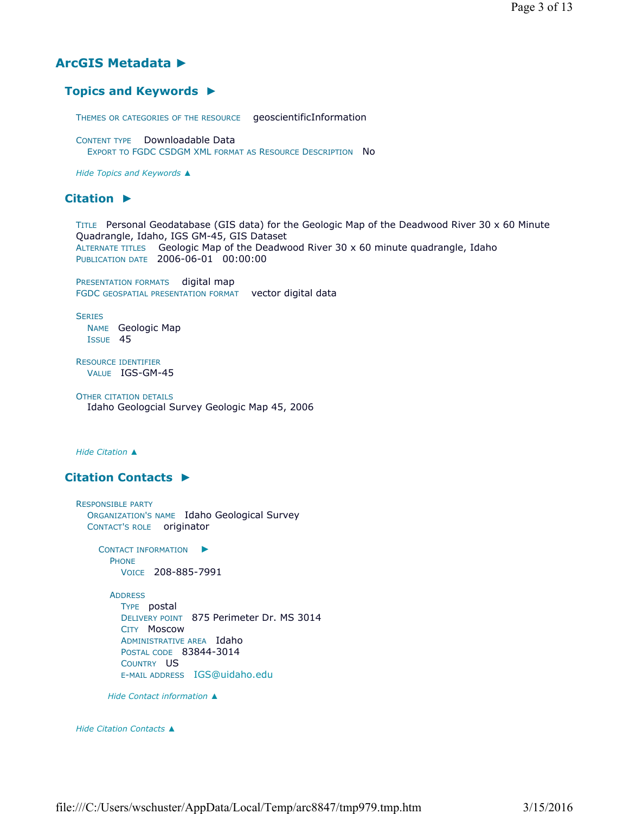## **ArcGIS Metadata ►**

## **Topics and Keywords ►**

THEMES OR CATEGORIES OF THE RESOURCE geoscientificInformation

CONTENT TYPE Downloadable Data EXPORT TO FGDC CSDGM XML FORMAT AS RESOURCE DESCRIPTION No

*Hide Topics and Keywords ▲*

## **Citation ►**

TITLE Personal Geodatabase (GIS data) for the Geologic Map of the Deadwood River 30 x 60 Minute Quadrangle, Idaho, IGS GM-45, GIS Dataset ALTERNATE TITLES Geologic Map of the Deadwood River 30 x 60 minute quadrangle, Idaho PUBLICATION DATE 2006-06-01 00:00:00

PRESENTATION FORMATS digital map FGDC GEOSPATIAL PRESENTATION FORMAT vector digital data

SERIES NAME Geologic Map ISSUE 45

RESOURCE IDENTIFIER VALUE IGS-GM-45

OTHER CITATION DETAILS Idaho Geologcial Survey Geologic Map 45, 2006

*Hide Citation ▲*

## **Citation Contacts ►**

```
RESPONSIBLE PARTY
  ORGANIZATION'S NAME Idaho Geological Survey 
  CONTACT'S ROLE originator
    CONTACT INFORMATION
►
      PHONE
        VOICE 208-885-7991
      ADDRESS
        TYPE postal 
        DELIVERY POINT 875 Perimeter Dr. MS 3014 
        CITY Moscow 
        ADMINISTRATIVE AREA Idaho
        POSTAL CODE 83844-3014 
        COUNTRY US 
        E-MAIL ADDRESS IGS@uidaho.edu
      Hide Contact information ▲
```
*Hide Citation Contacts ▲*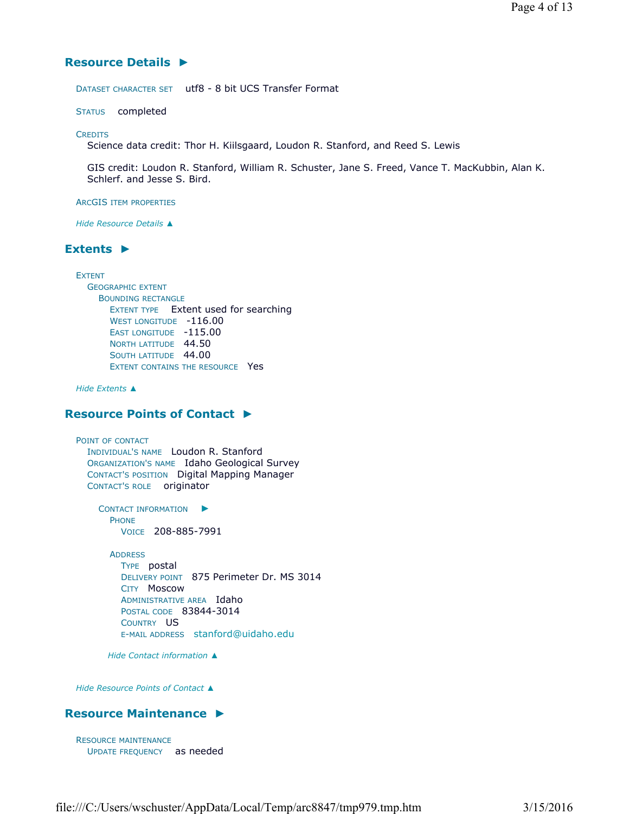## **Resource Details ►**

DATASET CHARACTER SET utf8 - 8 bit UCS Transfer Format

STATUS completed

**CREDITS** 

Science data credit: Thor H. Kiilsgaard, Loudon R. Stanford, and Reed S. Lewis

GIS credit: Loudon R. Stanford, William R. Schuster, Jane S. Freed, Vance T. MacKubbin, Alan K. Schlerf. and Jesse S. Bird.

ARCGIS ITEM PROPERTIES

*Hide Resource Details ▲*

### **Extents ►**

EXTENT GEOGRAPHIC EXTENT BOUNDING RECTANGLE EXTENT TYPE Extent used for searching WEST LONGITUDE -116.00 EAST LONGITUDE -115.00 NORTH LATITUDE 44.50 SOUTH LATITUDE 44.00 EXTENT CONTAINS THE RESOURCE Yes

*Hide Extents ▲*

### **Resource Points of Contact ►**

POINT OF CONTACT INDIVIDUAL'S NAME Loudon R. Stanford ORGANIZATION'S NAME Idaho Geological Survey CONTACT'S POSITION Digital Mapping Manager CONTACT'S ROLE originator

> CONTACT INFORMATION ► **PHONE** VOICE 208-885-7991

**ADDRESS** TYPE postal DELIVERY POINT 875 Perimeter Dr. MS 3014 CITY Moscow ADMINISTRATIVE AREA Idaho POSTAL CODE 83844-3014 COUNTRY US E-MAIL ADDRESS stanford@uidaho.edu

*Hide Contact information ▲*

*Hide Resource Points of Contact ▲*

### **Resource Maintenance ►**

RESOURCE MAINTENANCE UPDATE FREQUENCY as needed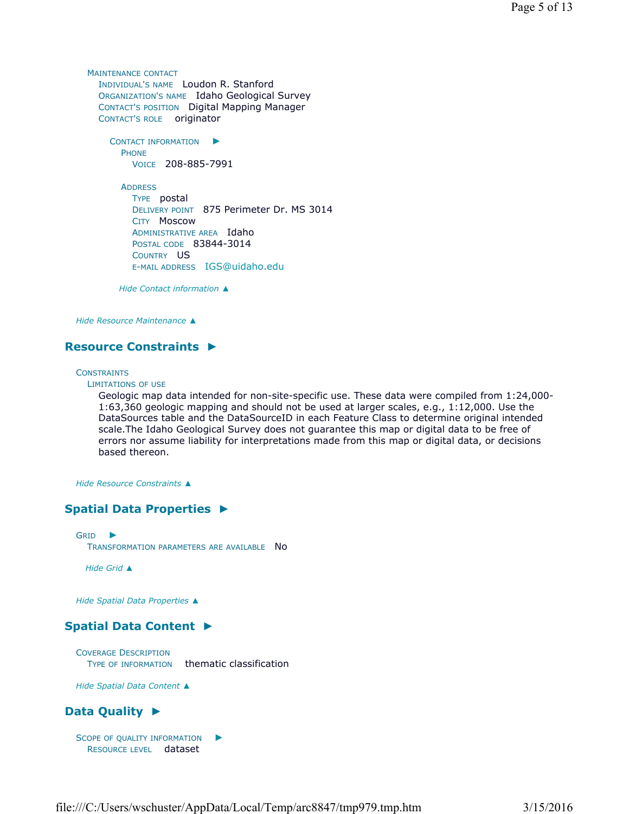MAINTENANCE CONTACT INDIVIDUAL'S NAME Loudon R. Stanford ORGANIZATION'S NAME Idaho Geological Survey CONTACT'S POSITION Digital Mapping Manager CONTACT'S ROLE originator

> CONTACT INFORMATION ► PHONE VOICE 208-885-7991

ADDRESS TYPE postal DELIVERY POINT 875 Perimeter Dr. MS 3014 CITY Moscow ADMINISTRATIVE AREA Idaho POSTAL CODE 83844-3014 COUNTRY US E-MAIL ADDRESS IGS@uidaho.edu

*Hide Contact information ▲*

*Hide Resource Maintenance ▲*

## **Resource Constraints ►**

#### **CONSTRAINTS**

LIMITATIONS OF USE

Geologic map data intended for non-site-specific use. These data were compiled from 1:24,000- 1:63,360 geologic mapping and should not be used at larger scales, e.g., 1:12,000. Use the DataSources table and the DataSourceID in each Feature Class to determine original intended scale.The Idaho Geological Survey does not guarantee this map or digital data to be free of errors nor assume liability for interpretations made from this map or digital data, or decisions based thereon.

*Hide Resource Constraints ▲*

### **Spatial Data Properties ►**

```
GRID
►
 TRANSFORMATION PARAMETERS ARE AVAILABLE No
```
*Hide Grid ▲*

*Hide Spatial Data Properties ▲*

### **Spatial Data Content ►**

COVERAGE DESCRIPTION TYPE OF INFORMATION thematic classification

*Hide Spatial Data Content ▲*

## **Data Quality ►**

SCOPE OF QUALITY INFORMATION RESOURCE LEVEL dataset ►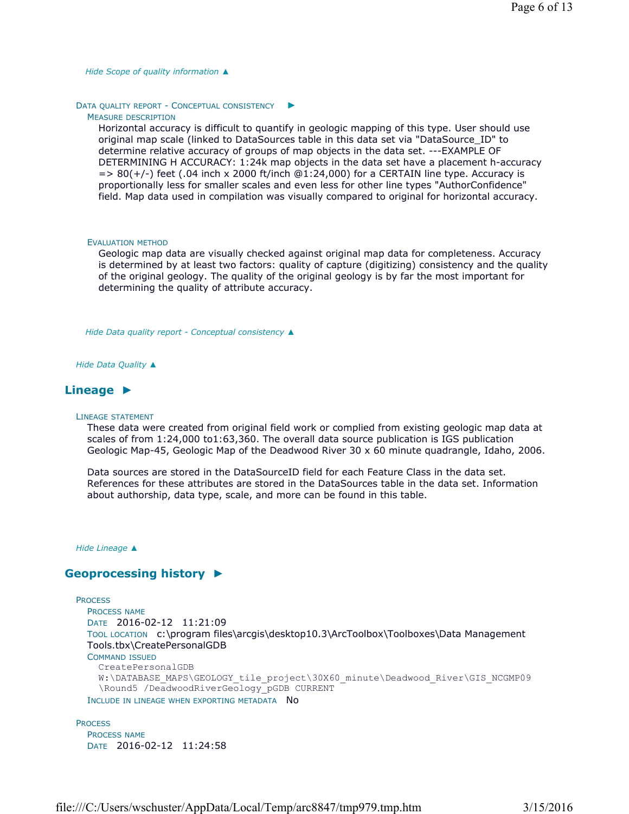*Hide Scope of quality information ▲*

#### DATA QUALITY REPORT - CONCEPTUAL CONSISTENCY ▶

#### MEASURE DESCRIPTION

Horizontal accuracy is difficult to quantify in geologic mapping of this type. User should use original map scale (linked to DataSources table in this data set via "DataSource\_ID" to determine relative accuracy of groups of map objects in the data set. ---EXAMPLE OF DETERMINING H ACCURACY: 1:24k map objects in the data set have a placement h-accuracy  $=$  > 80(+/-) feet (.04 inch x 2000 ft/inch  $@1:24,000$ ) for a CERTAIN line type. Accuracy is proportionally less for smaller scales and even less for other line types "AuthorConfidence" field. Map data used in compilation was visually compared to original for horizontal accuracy.

#### EVALUATION METHOD

Geologic map data are visually checked against original map data for completeness. Accuracy is determined by at least two factors: quality of capture (digitizing) consistency and the quality of the original geology. The quality of the original geology is by far the most important for determining the quality of attribute accuracy.

*Hide Data quality report - Conceptual consistency ▲*

*Hide Data Quality ▲*

## **Lineage ►**

#### LINEAGE STATEMENT

These data were created from original field work or complied from existing geologic map data at scales of from 1:24,000 to1:63,360. The overall data source publication is IGS publication Geologic Map-45, Geologic Map of the Deadwood River 30 x 60 minute quadrangle, Idaho, 2006.

Data sources are stored in the DataSourceID field for each Feature Class in the data set. References for these attributes are stored in the DataSources table in the data set. Information about authorship, data type, scale, and more can be found in this table.

*Hide Lineage ▲*

## **Geoprocessing history ►**

```
PROCESS
 PROCESS NAME
  DATE 2016-02-12 11:21:09 
 TOOL LOCATION c:\program files\arcgis\desktop10.3\ArcToolbox\Toolboxes\Data Management 
 Tools.tbx\CreatePersonalGDB 
  COMMAND ISSUED
    CreatePersonalGDB 
    W:\DATABASE_MAPS\GEOLOGY_tile_project\30X60_minute\Deadwood_River\GIS_NCGMP09
    \Round5 /DeadwoodRiverGeology_pGDB CURRENT
 INCLUDE IN LINEAGE WHEN EXPORTING METADATA NO
```

```
PROCESS
 PROCESS NAME
  DATE 2016-02-12 11:24:58
```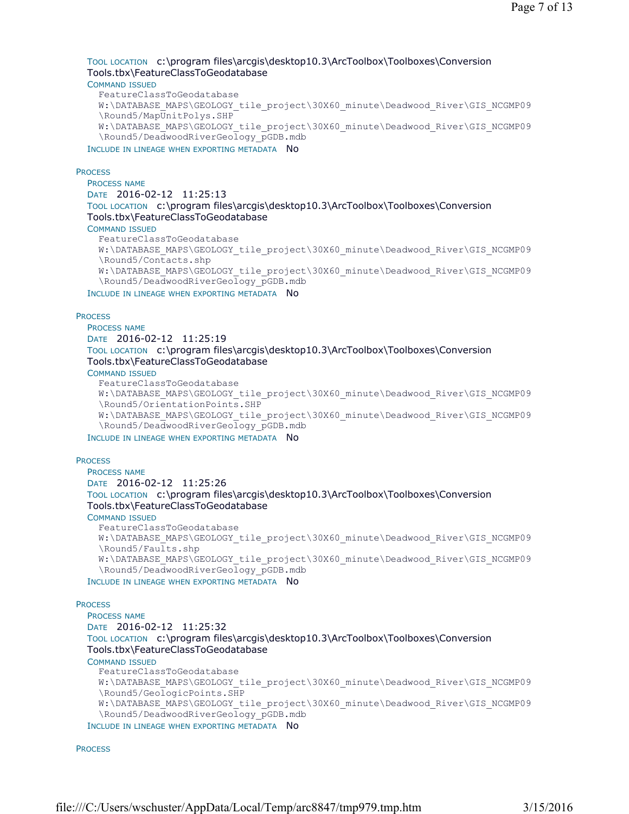#### TOOL LOCATION c:\program files\arcgis\desktop10.3\ArcToolbox\Toolboxes\Conversion Tools.tbx\FeatureClassToGeodatabase

#### COMMAND ISSUED

FeatureClassToGeodatabase W:\DATABASE\_MAPS\GEOLOGY\_tile\_project\30X60\_minute\Deadwood\_River\GIS\_NCGMP09 \Round5/MapUnitPolys.SHP W:\DATABASE\_MAPS\GEOLOGY\_tile\_project\30X60\_minute\Deadwood\_River\GIS\_NCGMP09 \Round5/DeadwoodRiverGeology\_pGDB.mdb INCLUDE IN LINEAGE WHEN EXPORTING METADATA NO

#### **PROCESS**

PROCESS NAME DATE 2016-02-12 11:25:13 TOOL LOCATION c:\program files\arcgis\desktop10.3\ArcToolbox\Toolboxes\Conversion Tools.tbx\FeatureClassToGeodatabase COMMAND ISSUED

FeatureClassToGeodatabase W:\DATABASE\_MAPS\GEOLOGY\_tile\_project\30X60\_minute\Deadwood\_River\GIS\_NCGMP09 \Round5/Contacts.shp W:\DATABASE\_MAPS\GEOLOGY\_tile\_project\30X60\_minute\Deadwood\_River\GIS\_NCGMP09 \Round5/DeadwoodRiverGeology\_pGDB.mdb

INCLUDE IN LINEAGE WHEN EXPORTING METADATA NO

**PROCESS** 

PROCESS NAME DATE 2016-02-12 11:25:19 TOOL LOCATION c:\program files\arcgis\desktop10.3\ArcToolbox\Toolboxes\Conversion Tools.tbx\FeatureClassToGeodatabase

COMMAND ISSUED

FeatureClassToGeodatabase W:\DATABASE\_MAPS\GEOLOGY\_tile\_project\30X60\_minute\Deadwood\_River\GIS\_NCGMP09 \Round5/OrientationPoints.SHP W:\DATABASE\_MAPS\GEOLOGY\_tile\_project\30X60\_minute\Deadwood\_River\GIS\_NCGMP09 \Round5/DeadwoodRiverGeology\_pGDB.mdb

INCLUDE IN LINEAGE WHEN EXPORTING METADATA NO

#### **PROCESS**

PROCESS NAME DATE 2016-02-12 11:25:26 TOOL LOCATION c:\program files\arcgis\desktop10.3\ArcToolbox\Toolboxes\Conversion Tools.tbx\FeatureClassToGeodatabase COMMAND ISSUED

```
FeatureClassToGeodatabase 
W:\DATABASE_MAPS\GEOLOGY_tile_project\30X60_minute\Deadwood_River\GIS_NCGMP09
\Round5/Faults.shp 
W:\DATABASE_MAPS\GEOLOGY_tile_project\30X60_minute\Deadwood_River\GIS_NCGMP09
\Round5/DeadwoodRiverGeology_pGDB.mdb
```
INCLUDE IN LINEAGE WHEN EXPORTING METADATA NO

#### **PROCESS**

```
PROCESS NAME
DATE 2016-02-12 11:25:32 
TOOL LOCATION c:\program files\arcgis\desktop10.3\ArcToolbox\Toolboxes\Conversion 
Tools.tbx\FeatureClassToGeodatabase 
COMMAND ISSUED
  FeatureClassToGeodatabase 
  W:\DATABASE_MAPS\GEOLOGY_tile_project\30X60_minute\Deadwood_River\GIS_NCGMP09
  \Round5/GeologicPoints.SHP 
  W:\DATABASE_MAPS\GEOLOGY_tile_project\30X60_minute\Deadwood_River\GIS_NCGMP09
  \Round5/DeadwoodRiverGeology_pGDB.mdb
INCLUDE IN LINEAGE WHEN EXPORTING METADATA NO
```
**PROCESS**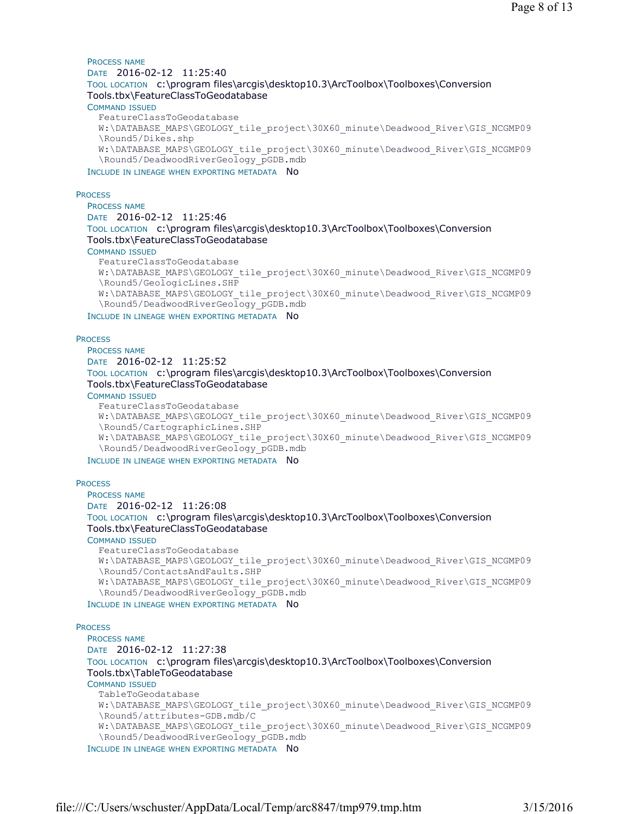#### PROCESS NAME DATE 2016-02-12 11:25:40 TOOL LOCATION c:\program files\arcgis\desktop10.3\ArcToolbox\Toolboxes\Conversion Tools.tbx\FeatureClassToGeodatabase COMMAND ISSUED FeatureClassToGeodatabase W:\DATABASE\_MAPS\GEOLOGY\_tile\_project\30X60\_minute\Deadwood\_River\GIS\_NCGMP09 \Round5/Dikes.shp W:\DATABASE\_MAPS\GEOLOGY\_tile\_project\30X60\_minute\Deadwood\_River\GIS\_NCGMP09

\Round5/DeadwoodRiverGeology\_pGDB.mdb

INCLUDE IN LINEAGE WHEN EXPORTING METADATA NO

#### **PROCESS**

PROCESS NAME DATE 2016-02-12 11:25:46 TOOL LOCATION c:\program files\arcgis\desktop10.3\ArcToolbox\Toolboxes\Conversion Tools.tbx\FeatureClassToGeodatabase COMMAND ISSUED FeatureClassToGeodatabase W:\DATABASE\_MAPS\GEOLOGY\_tile\_project\30X60\_minute\Deadwood\_River\GIS\_NCGMP09

\Round5/GeologicLines.SHP W:\DATABASE\_MAPS\GEOLOGY\_tile\_project\30X60\_minute\Deadwood\_River\GIS\_NCGMP09 \Round5/DeadwoodRiverGeology\_pGDB.mdb

INCLUDE IN LINEAGE WHEN EXPORTING METADATA NO

#### **PROCESS**

PROCESS NAME

DATE 2016-02-12 11:25:52

TOOL LOCATION c:\program files\arcgis\desktop10.3\ArcToolbox\Toolboxes\Conversion Tools.tbx\FeatureClassToGeodatabase

COMMAND ISSUED

```
FeatureClassToGeodatabase 
W:\DATABASE_MAPS\GEOLOGY_tile_project\30X60_minute\Deadwood_River\GIS_NCGMP09
\Round5/CartographicLines.SHP 
W:\DATABASE_MAPS\GEOLOGY_tile_project\30X60_minute\Deadwood_River\GIS_NCGMP09
\Round5/DeadwoodRiverGeology_pGDB.mdb
```
INCLUDE IN LINEAGE WHEN EXPORTING METADATA NO

#### **PROCESS**

PROCESS NAME DATE 2016-02-12 11:26:08 TOOL LOCATION c:\program files\arcgis\desktop10.3\ArcToolbox\Toolboxes\Conversion Tools.tbx\FeatureClassToGeodatabase COMMAND ISSUED FeatureClassToGeodatabase W:\DATABASE\_MAPS\GEOLOGY\_tile\_project\30X60\_minute\Deadwood\_River\GIS\_NCGMP09 \Round5/ContactsAndFaults.SHP

W:\DATABASE\_MAPS\GEOLOGY\_tile\_project\30X60\_minute\Deadwood\_River\GIS\_NCGMP09 \Round5/DeadwoodRiverGeology\_pGDB.mdb

INCLUDE IN LINEAGE WHEN EXPORTING METADATA NO

### **PROCESS**

PROCESS NAME DATE 2016-02-12 11:27:38 TOOL LOCATION c:\program files\arcgis\desktop10.3\ArcToolbox\Toolboxes\Conversion Tools.tbx\TableToGeodatabase COMMAND ISSUED TableToGeodatabase W:\DATABASE\_MAPS\GEOLOGY\_tile\_project\30X60\_minute\Deadwood\_River\GIS\_NCGMP09 \Round5/attributes-GDB.mdb/C W:\DATABASE\_MAPS\GEOLOGY\_tile\_project\30X60\_minute\Deadwood\_River\GIS\_NCGMP09 \Round5/DeadwoodRiverGeology\_pGDB.mdb INCLUDE IN LINEAGE WHEN EXPORTING METADATA NO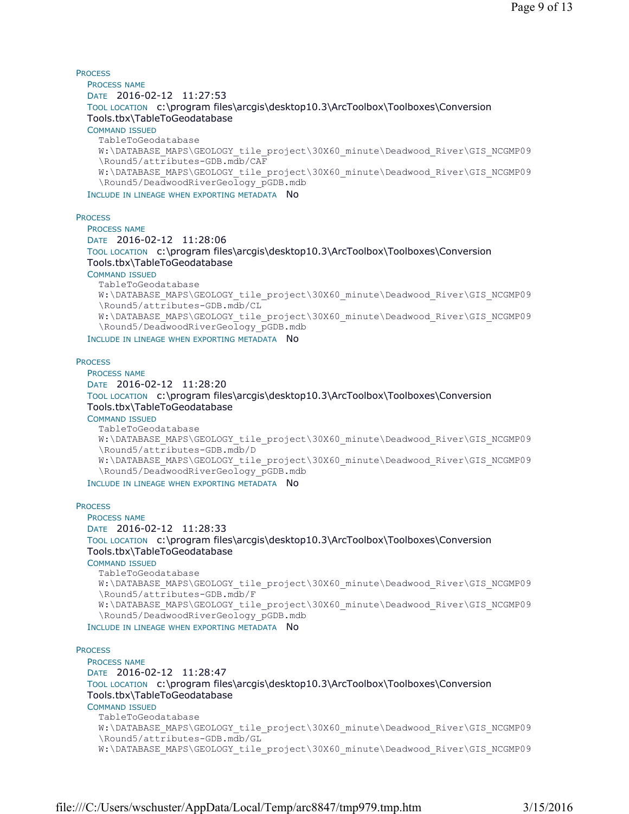**PROCESS** PROCESS NAME DATE 2016-02-12 11:27:53 TOOL LOCATION c:\program files\arcgis\desktop10.3\ArcToolbox\Toolboxes\Conversion Tools.tbx\TableToGeodatabase COMMAND ISSUED TableToGeodatabase W:\DATABASE\_MAPS\GEOLOGY\_tile\_project\30X60\_minute\Deadwood\_River\GIS\_NCGMP09 \Round5/attributes-GDB.mdb/CAF W:\DATABASE\_MAPS\GEOLOGY\_tile\_project\30X60\_minute\Deadwood\_River\GIS\_NCGMP09 \Round5/DeadwoodRiverGeology\_pGDB.mdb INCLUDE IN LINEAGE WHEN EXPORTING METADATA NO

**PROCESS** 

```
PROCESS NAME
DATE 2016-02-12 11:28:06 
TOOL LOCATION c:\program files\arcgis\desktop10.3\ArcToolbox\Toolboxes\Conversion 
Tools.tbx\TableToGeodatabase 
COMMAND ISSUED
  TableToGeodatabase 
  W:\DATABASE_MAPS\GEOLOGY_tile_project\30X60_minute\Deadwood_River\GIS_NCGMP09
  \Round5/attributes-GDB.mdb/CL 
  W:\DATABASE_MAPS\GEOLOGY_tile_project\30X60_minute\Deadwood_River\GIS_NCGMP09
  \Round5/DeadwoodRiverGeology_pGDB.mdb
```
INCLUDE IN LINEAGE WHEN EXPORTING METADATA NO

**PROCESS** 

```
PROCESS NAME
DATE 2016-02-12 11:28:20 
TOOL LOCATION c:\program files\arcgis\desktop10.3\ArcToolbox\Toolboxes\Conversion 
Tools.tbx\TableToGeodatabase 
COMMAND ISSUED
  TableToGeodatabase 
  W:\DATABASE_MAPS\GEOLOGY_tile_project\30X60_minute\Deadwood_River\GIS_NCGMP09
  \Round5/attributes-GDB.mdb/D 
  W:\DATABASE_MAPS\GEOLOGY_tile_project\30X60_minute\Deadwood_River\GIS_NCGMP09
  \Round5/DeadwoodRiverGeology_pGDB.mdb
```
INCLUDE IN LINEAGE WHEN EXPORTING METADATA NO

**PROCESS** 

```
PROCESS NAME
DATE 2016-02-12 11:28:33 
TOOL LOCATION c:\program files\arcgis\desktop10.3\ArcToolbox\Toolboxes\Conversion
Tools.tbx\TableToGeodatabase 
COMMAND ISSUED
  TableToGeodatabase 
  W:\DATABASE_MAPS\GEOLOGY_tile_project\30X60_minute\Deadwood_River\GIS_NCGMP09
  \Round5/attributes-GDB.mdb/F 
  W:\DATABASE_MAPS\GEOLOGY_tile_project\30X60_minute\Deadwood_River\GIS_NCGMP09
  \Round5/DeadwoodRiverGeology_pGDB.mdb
INCLUDE IN LINEAGE WHEN EXPORTING METADATA NO
```
#### **PROCESS**

```
PROCESS NAME
DATE 2016-02-12 11:28:47 
TOOL LOCATION c:\program files\arcgis\desktop10.3\ArcToolbox\Toolboxes\Conversion 
Tools.tbx\TableToGeodatabase 
COMMAND ISSUED
  TableToGeodatabase 
  W:\DATABASE_MAPS\GEOLOGY_tile_project\30X60_minute\Deadwood_River\GIS_NCGMP09
  \Round5/attributes-GDB.mdb/GL 
  W:\DATABASE_MAPS\GEOLOGY_tile_project\30X60_minute\Deadwood_River\GIS_NCGMP09
```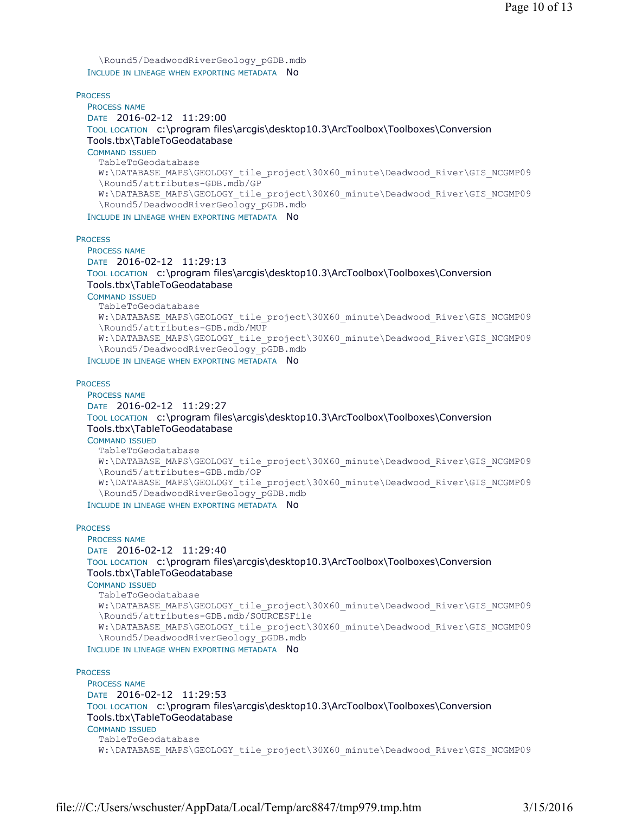\Round5/DeadwoodRiverGeology\_pGDB.mdb INCLUDE IN LINEAGE WHEN EXPORTING METADATA NO

#### **PROCESS**

PROCESS NAME DATE 2016-02-12 11:29:00 TOOL LOCATION c:\program files\arcgis\desktop10.3\ArcToolbox\Toolboxes\Conversion Tools.tbx\TableToGeodatabase COMMAND ISSUED TableToGeodatabase W:\DATABASE\_MAPS\GEOLOGY\_tile\_project\30X60\_minute\Deadwood\_River\GIS\_NCGMP09 \Round5/attributes-GDB.mdb/GP W:\DATABASE\_MAPS\GEOLOGY\_tile\_project\30X60\_minute\Deadwood\_River\GIS\_NCGMP09 \Round5/DeadwoodRiverGeology\_pGDB.mdb INCLUDE IN LINEAGE WHEN EXPORTING METADATA NO

#### **PROCESS**

PROCESS NAME DATE 2016-02-12 11:29:13 TOOL LOCATION c:\program files\arcgis\desktop10.3\ArcToolbox\Toolboxes\Conversion Tools.tbx\TableToGeodatabase COMMAND ISSUED TableToGeodatabase W:\DATABASE\_MAPS\GEOLOGY\_tile\_project\30X60\_minute\Deadwood\_River\GIS\_NCGMP09 \Round5/attributes-GDB.mdb/MUP W:\DATABASE\_MAPS\GEOLOGY\_tile\_project\30X60\_minute\Deadwood\_River\GIS\_NCGMP09 \Round5/DeadwoodRiverGeology\_pGDB.mdb

INCLUDE IN LINEAGE WHEN EXPORTING METADATA NO

#### **PROCESS**

PROCESS NAME DATE 2016-02-12 11:29:27 TOOL LOCATION c:\program files\arcgis\desktop10.3\ArcToolbox\Toolboxes\Conversion Tools.tbx\TableToGeodatabase COMMAND ISSUED TableToGeodatabase W:\DATABASE\_MAPS\GEOLOGY\_tile\_project\30X60\_minute\Deadwood\_River\GIS\_NCGMP09 \Round5/attributes-GDB.mdb/OP W:\DATABASE\_MAPS\GEOLOGY\_tile\_project\30X60\_minute\Deadwood\_River\GIS\_NCGMP09 \Round5/DeadwoodRiverGeology\_pGDB.mdb

INCLUDE IN LINEAGE WHEN EXPORTING METADATA NO

#### **PROCESS**

PROCESS NAME DATE 2016-02-12 11:29:40 TOOL LOCATION c:\program files\arcgis\desktop10.3\ArcToolbox\Toolboxes\Conversion Tools.tbx\TableToGeodatabase COMMAND ISSUED TableToGeodatabase W:\DATABASE\_MAPS\GEOLOGY\_tile\_project\30X60\_minute\Deadwood\_River\GIS\_NCGMP09 \Round5/attributes-GDB.mdb/SOURCESFile W:\DATABASE\_MAPS\GEOLOGY\_tile\_project\30X60\_minute\Deadwood\_River\GIS\_NCGMP09 \Round5/DeadwoodRiverGeology\_pGDB.mdb

INCLUDE IN LINEAGE WHEN EXPORTING METADATA NO

#### **PROCESS**

PROCESS NAME DATE 2016-02-12 11:29:53 TOOL LOCATION c:\program files\arcgis\desktop10.3\ArcToolbox\Toolboxes\Conversion Tools.tbx\TableToGeodatabase COMMAND ISSUED TableToGeodatabase W:\DATABASE\_MAPS\GEOLOGY\_tile\_project\30X60\_minute\Deadwood\_River\GIS\_NCGMP09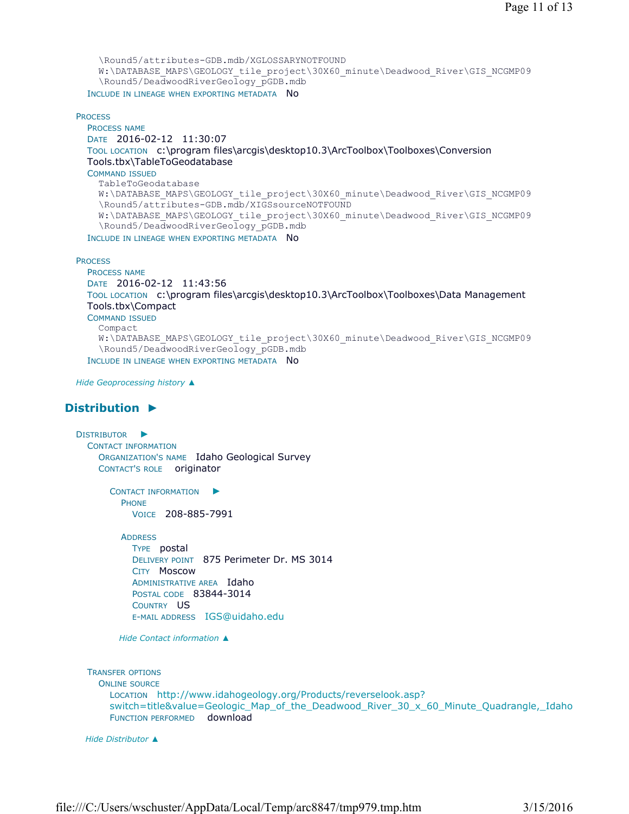```
\Round5/attributes-GDB.mdb/XGLOSSARYNOTFOUND 
    W:\DATABASE_MAPS\GEOLOGY_tile_project\30X60_minute\Deadwood_River\GIS_NCGMP09
    \Round5/DeadwoodRiverGeology_pGDB.mdb
 INCLUDE IN LINEAGE WHEN EXPORTING METADATA NO
PROCESS
 PROCESS NAME
 DATE 2016-02-12 11:30:07 
 TOOL LOCATION c:\program files\arcgis\desktop10.3\ArcToolbox\Toolboxes\Conversion 
 Tools.tbx\TableToGeodatabase 
 COMMAND ISSUED
    TableToGeodatabase 
    W:\DATABASE_MAPS\GEOLOGY_tile_project\30X60_minute\Deadwood_River\GIS_NCGMP09
    \Round5/attributes-GDB.mdb/XIGSsourceNOTFOUND 
    W:\DATABASE_MAPS\GEOLOGY_tile_project\30X60_minute\Deadwood_River\GIS_NCGMP09
    \Round5/DeadwoodRiverGeology_pGDB.mdb
 INCLUDE IN LINEAGE WHEN EXPORTING METADATA NO
PROCESS
 PROCESS NAME
 DATE 2016-02-12 11:43:56 
 TOOL LOCATION c:\program files\arcgis\desktop10.3\ArcToolbox\Toolboxes\Data Management 
 Tools.tbx\Compact 
 COMMAND ISSUED
    Compact 
    W:\DATABASE_MAPS\GEOLOGY_tile_project\30X60_minute\Deadwood_River\GIS_NCGMP09
    \Round5/DeadwoodRiverGeology_pGDB.mdb
 INCLUDE IN LINEAGE WHEN EXPORTING METADATA NO
```
*Hide Geoprocessing history ▲*

## **Distribution ►**

DISTRIBUTOR ► CONTACT INFORMATION ORGANIZATION'S NAME Idaho Geological Survey CONTACT'S ROLE originator CONTACT INFORMATION ►

PHONE VOICE 208-885-7991

ADDRESS TYPE postal DELIVERY POINT 875 Perimeter Dr. MS 3014 CITY Moscow ADMINISTRATIVE AREA Idaho POSTAL CODE 83844-3014 COUNTRY US E-MAIL ADDRESS IGS@uidaho.edu

*Hide Contact information ▲*

TRANSFER OPTIONS ONLINE SOURCE LOCATION http://www.idahogeology.org/Products/reverselook.asp? switch=title&value=Geologic\_Map\_of\_the\_Deadwood\_River\_30\_x\_60\_Minute\_Quadrangle,\_Idaho FUNCTION PERFORMED download

*Hide Distributor ▲*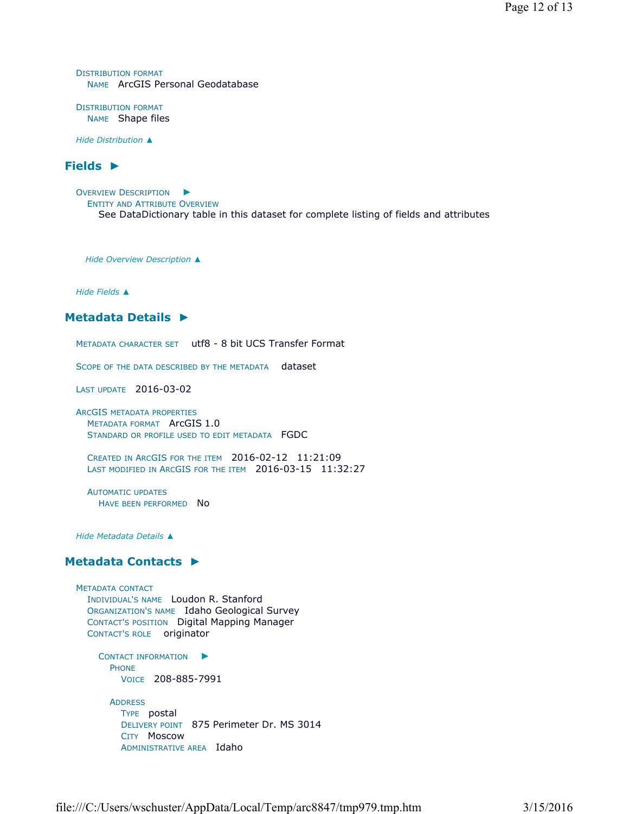Page 12 of 13

DISTRIBUTION FORMAT NAME ArcGIS Personal Geodatabase

DISTRIBUTION FORMAT NAME Shape files

*Hide Distribution ▲*

## **Fields ►**

OVERVIEW DESCRIPTION ► ENTITY AND ATTRIBUTE OVERVIEW See DataDictionary table in this dataset for complete listing of fields and attributes

*Hide Overview Description ▲*

*Hide Fields ▲*

## **Metadata Details ►**

METADATA CHARACTER SET utf8 - 8 bit UCS Transfer Format

SCOPE OF THE DATA DESCRIBED BY THE METADATA dataset

LAST UPDATE 2016-03-02

ARCGIS METADATA PROPERTIES METADATA FORMAT ArcGIS 1.0 STANDARD OR PROFILE USED TO EDIT METADATA FGDC

CREATED IN ARCGIS FOR THE ITEM 2016-02-12 11:21:09 LAST MODIFIED IN ARCGIS FOR THE ITEM 2016-03-15 11:32:27

AUTOMATIC UPDATES HAVE BEEN PERFORMED NO

*Hide Metadata Details ▲*

## **Metadata Contacts ►**

METADATA CONTACT INDIVIDUAL'S NAME Loudon R. Stanford ORGANIZATION'S NAME Idaho Geological Survey CONTACT'S POSITION Digital Mapping Manager CONTACT'S ROLE originator

> CONTACT INFORMATION ► PHONE VOICE 208-885-7991

ADDRESS TYPE postal DELIVERY POINT 875 Perimeter Dr. MS 3014 CITY Moscow ADMINISTRATIVE AREA Idaho